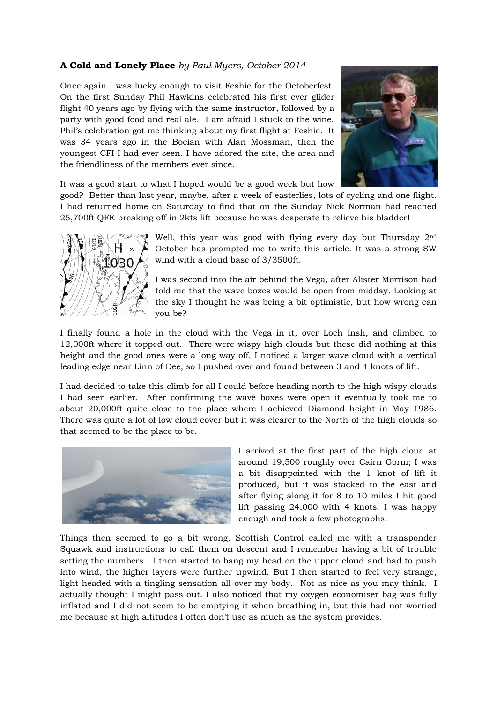## **A Cold and Lonely Place** *by Paul Myers, October 2014*

Once again I was lucky enough to visit Feshie for the Octoberfest. On the first Sunday Phil Hawkins celebrated his first ever glider flight 40 years ago by flying with the same instructor, followed by a party with good food and real ale. I am afraid I stuck to the wine. Phil's celebration got me thinking about my first flight at Feshie. It was 34 years ago in the Bocian with Alan Mossman, then the youngest CFI I had ever seen. I have adored the site, the area and the friendliness of the members ever since.



It was a good start to what I hoped would be a good week but how

good? Better than last year, maybe, after a week of easterlies, lots of cycling and one flight. I had returned home on Saturday to find that on the Sunday Nick Norman had reached 25,700ft QFE breaking off in 2kts lift because he was desperate to relieve his bladder!



Well, this year was good with flying every day but Thursday 2nd October has prompted me to write this article. It was a strong SW wind with a cloud base of 3/3500ft.

I was second into the air behind the Vega, after Alister Morrison had told me that the wave boxes would be open from midday. Looking at the sky I thought he was being a bit optimistic, but how wrong can you be?

I finally found a hole in the cloud with the Vega in it, over Loch Insh, and climbed to 12,000ft where it topped out. There were wispy high clouds but these did nothing at this height and the good ones were a long way off. I noticed a larger wave cloud with a vertical leading edge near Linn of Dee, so I pushed over and found between 3 and 4 knots of lift.

I had decided to take this climb for all I could before heading north to the high wispy clouds I had seen earlier. After confirming the wave boxes were open it eventually took me to about 20,000ft quite close to the place where I achieved Diamond height in May 1986. There was quite a lot of low cloud cover but it was clearer to the North of the high clouds so that seemed to be the place to be.



I arrived at the first part of the high cloud at around 19,500 roughly over Cairn Gorm; I was a bit disappointed with the 1 knot of lift it produced, but it was stacked to the east and after flying along it for 8 to 10 miles I hit good lift passing 24,000 with 4 knots. I was happy enough and took a few photographs.

Things then seemed to go a bit wrong. Scottish Control called me with a transponder Squawk and instructions to call them on descent and I remember having a bit of trouble setting the numbers. I then started to bang my head on the upper cloud and had to push into wind, the higher layers were further upwind. But I then started to feel very strange, light headed with a tingling sensation all over my body. Not as nice as you may think. I actually thought I might pass out. I also noticed that my oxygen economiser bag was fully inflated and I did not seem to be emptying it when breathing in, but this had not worried me because at high altitudes I often don't use as much as the system provides.